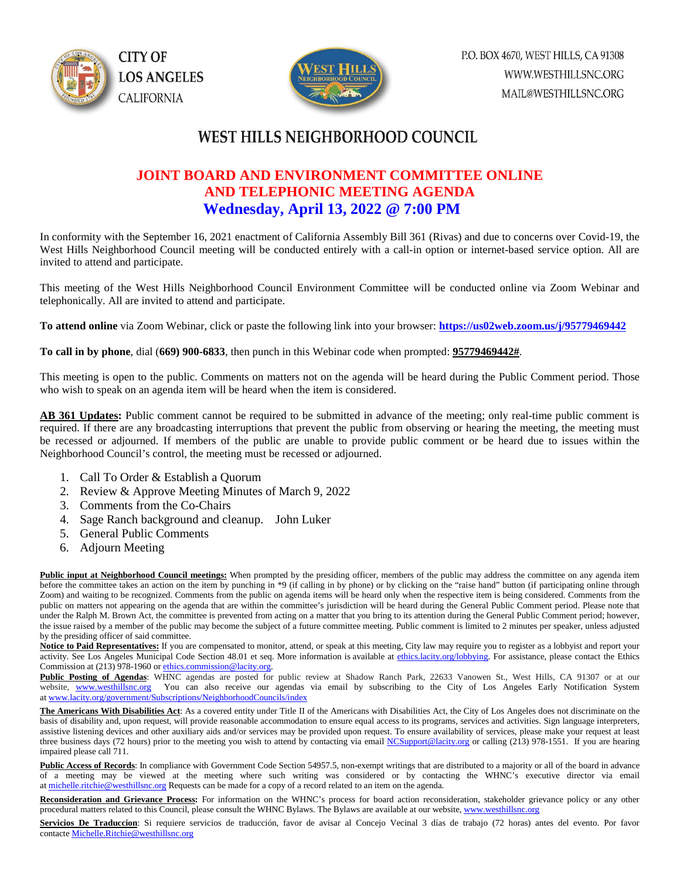



## **WEST HILLS NEIGHBORHOOD COUNCIL**

## **JOINT BOARD AND ENVIRONMENT COMMITTEE ONLINE AND TELEPHONIC MEETING AGENDA Wednesday, April 13, 2022 @ 7:00 PM**

In conformity with the September 16, 2021 enactment of California Assembly Bill 361 (Rivas) and due to concerns over Covid-19, the West Hills Neighborhood Council meeting will be conducted entirely with a call-in option or internet-based service option. All are invited to attend and participate.

This meeting of the West Hills Neighborhood Council Environment Committee will be conducted online via Zoom Webinar and telephonically. All are invited to attend and participate.

**To attend online** via Zoom Webinar, click or paste the following link into your browser: **<https://us02web.zoom.us/j/95779469442>**

**To call in by phone**, dial (**669) 900-6833**, then punch in this Webinar code when prompted: **95779469442#**.

This meeting is open to the public. Comments on matters not on the agenda will be heard during the Public Comment period. Those who wish to speak on an agenda item will be heard when the item is considered.

**AB 361 Updates:** Public comment cannot be required to be submitted in advance of the meeting; only real-time public comment is required. If there are any broadcasting interruptions that prevent the public from observing or hearing the meeting, the meeting must be recessed or adjourned. If members of the public are unable to provide public comment or be heard due to issues within the Neighborhood Council's control, the meeting must be recessed or adjourned.

- 1. Call To Order & Establish a Quorum
- 2. Review & Approve Meeting Minutes of March 9, 2022
- 3. Comments from the Co-Chairs
- 4. Sage Ranch background and cleanup. John Luker
- 5. General Public Comments
- 6. Adjourn Meeting

Public input at Neighborhood Council meetings: When prompted by the presiding officer, members of the public may address the committee on any agenda item before the committee takes an action on the item by punching in \*9 (if calling in by phone) or by clicking on the "raise hand" button (if participating online through Zoom) and waiting to be recognized. Comments from the public on agenda items will be heard only when the respective item is being considered. Comments from the public on matters not appearing on the agenda that are within the committee's jurisdiction will be heard during the General Public Comment period. Please note that under the Ralph M. Brown Act, the committee is prevented from acting on a matter that you bring to its attention during the General Public Comment period; however, the issue raised by a member of the public may become the subject of a future committee meeting. Public comment is limited to 2 minutes per speaker, unless adjusted by the presiding officer of said committee.

Notice to Paid Representatives: If you are compensated to monitor, attend, or speak at this meeting, City law may require you to register as a lobbyist and report your activity. See Los Angeles Municipal Code Section 48.01 et seq. More information is available a[t ethics.lacity.org/lobbying.](http://ethics.lacity.org/lobbying) For assistance, please contact the Ethics Commission at (213) 978-1960 or [ethics.commission@lacity.org.](javascript:void(0);)

**Public Posting of Agendas**: WHNC agendas are posted for public review at Shadow Ranch Park, 22633 Vanowen St., West Hills, CA 91307 or at our website, [www.westhillsnc.org](http://www.westhillsnc.org/) You can also receive our agendas via email by subscribing to the City of Los Angeles Early Notification System at [www.lacity.org/government/Subscriptions/NeighborhoodCouncils/index](http://www.lacity.org/government/Subscriptions/NeighborhoodCouncils/index)

**The Americans With Disabilities Act**: As a covered entity under Title II of the Americans with Disabilities Act, the City of Los Angeles does not discriminate on the basis of disability and, upon request, will provide reasonable accommodation to ensure equal access to its programs, services and activities. Sign language interpreters, assistive listening devices and other auxiliary aids and/or services may be provided upon request. To ensure availability of services, please make your request at least three business days (72 hours) prior to the meeting you wish to attend by contacting via emai[l NCSupport@lacity.org](mailto:NCSupport@lacity.org) or calling (213) 978-1551. If you are hearing impaired please call 711.

Public Access of Records: In compliance with Government Code Section 54957.5, non-exempt writings that are distributed to a majority or all of the board in advance of a meeting may be viewed at the meeting where such writing was considered or by contacting the WHNC's executive director via email at [michelle.ritchie@westhillsnc.org](mailto:michelle.ritchie@westhillsnc.org) Requests can be made for a copy of a record related to an item on the agenda.

**Reconsideration and Grievance Process:** For information on the WHNC's process for board action reconsideration, stakeholder grievance policy or any other procedural matters related to this Council, please consult the WHNC Bylaws. The Bylaws are available at our website, [www.westhillsnc.org](http://www.westhillsnc.org/)

Servicios De Traduccion: Si requiere servicios de traducción, favor de avisar al Concejo Vecinal 3 días de trabajo (72 horas) antes del evento. Por favor contact[e Michelle.Ritchie@westhillsnc.org](mailto:Michelle.Ritchie@westhillsnc.org)